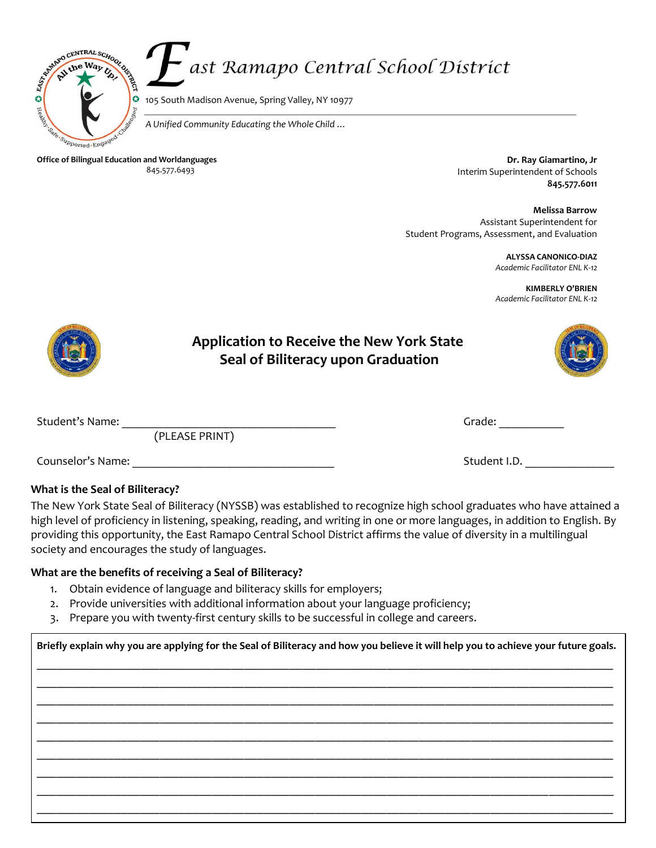

# ast Ramapo Central School District

105 South Madison Avenue, Spring Valley, NY 10977

*A Unified Community Educating the Whole Child …* 

**Office of Bilingual Education and Worldanguages** 845.577.6493

**Dr. Ray Giamartino, Jr** Interim Superintendent of Schools **845.577.6011** 

**Melissa Barrow** Assistant Superintendent for Student Programs, Assessment, and Evaluation

> **ALYSSA CANONICO-DIAZ** *Academic Facilitator ENL K-12*

**KIMBERLY O'BRIEN** *Academic Facilitator ENL K-12*



### **Application to Receive the New York State Seal of Biliteracy upon Graduation**



(PLEASE PRINT)

| Student's Name: | ີທາວໄດ<br>aud II |  |
|-----------------|------------------|--|
|                 |                  |  |

Counselor's Name: **Name:**  $\overline{a}$  and  $\overline{b}$  and  $\overline{c}$  and  $\overline{d}$  and  $\overline{c}$  and  $\overline{d}$  and  $\overline{d}$  and  $\overline{d}$  and  $\overline{d}$  and  $\overline{d}$  and  $\overline{d}$  and  $\overline{d}$  and  $\overline{d}$  and  $\overline{d}$  and  $\overline{d}$  and

## **What is the Seal of Biliteracy?**

The New York State Seal of Biliteracy (NYSSB) was established to recognize high school graduates who have attained a high level of proficiency in listening, speaking, reading, and writing in one or more languages, in addition to English. By providing this opportunity, the East Ramapo Central School District affirms the value of diversity in a multilingual society and encourages the study of languages.

#### **What are the benefits of receiving a Seal of Biliteracy?**

- 1. Obtain evidence of language and biliteracy skills for employers;
- 2. Provide universities with additional information about your language proficiency;
- 3. Prepare you with twenty-first century skills to be successful in college and careers.

**Briefly explain why you are applying for the Seal of Biliteracy and how you believe it will help you to achieve your future goals.**  \_\_\_\_\_\_\_\_\_\_\_\_\_\_\_\_\_\_\_\_\_\_\_\_\_\_\_\_\_\_\_\_\_\_\_\_\_\_\_\_\_\_\_\_\_\_\_\_\_\_\_\_\_\_\_\_\_\_\_\_\_\_\_\_\_\_\_\_\_\_\_\_\_\_\_\_\_\_\_\_\_\_\_\_\_\_\_\_\_ \_\_\_\_\_\_\_\_\_\_\_\_\_\_\_\_\_\_\_\_\_\_\_\_\_\_\_\_\_\_\_\_\_\_\_\_\_\_\_\_\_\_\_\_\_\_\_\_\_\_\_\_\_\_\_\_\_\_\_\_\_\_\_\_\_\_\_\_\_\_\_\_\_\_\_\_\_\_\_\_\_\_\_\_\_\_\_\_\_ \_\_\_\_\_\_\_\_\_\_\_\_\_\_\_\_\_\_\_\_\_\_\_\_\_\_\_\_\_\_\_\_\_\_\_\_\_\_\_\_\_\_\_\_\_\_\_\_\_\_\_\_\_\_\_\_\_\_\_\_\_\_\_\_\_\_\_\_\_\_\_\_\_\_\_\_\_\_\_\_\_\_\_\_\_\_\_\_\_ \_\_\_\_\_\_\_\_\_\_\_\_\_\_\_\_\_\_\_\_\_\_\_\_\_\_\_\_\_\_\_\_\_\_\_\_\_\_\_\_\_\_\_\_\_\_\_\_\_\_\_\_\_\_\_\_\_\_\_\_\_\_\_\_\_\_\_\_\_\_\_\_\_\_\_\_\_\_\_\_\_\_\_\_\_\_\_\_\_ \_\_\_\_\_\_\_\_\_\_\_\_\_\_\_\_\_\_\_\_\_\_\_\_\_\_\_\_\_\_\_\_\_\_\_\_\_\_\_\_\_\_\_\_\_\_\_\_\_\_\_\_\_\_\_\_\_\_\_\_\_\_\_\_\_\_\_\_\_\_\_\_\_\_\_\_\_\_\_\_\_\_\_\_\_\_\_\_\_ \_\_\_\_\_\_\_\_\_\_\_\_\_\_\_\_\_\_\_\_\_\_\_\_\_\_\_\_\_\_\_\_\_\_\_\_\_\_\_\_\_\_\_\_\_\_\_\_\_\_\_\_\_\_\_\_\_\_\_\_\_\_\_\_\_\_\_\_\_\_\_\_\_\_\_\_\_\_\_\_\_\_\_\_\_\_\_\_\_ \_\_\_\_\_\_\_\_\_\_\_\_\_\_\_\_\_\_\_\_\_\_\_\_\_\_\_\_\_\_\_\_\_\_\_\_\_\_\_\_\_\_\_\_\_\_\_\_\_\_\_\_\_\_\_\_\_\_\_\_\_\_\_\_\_\_\_\_\_\_\_\_\_\_\_\_\_\_\_\_\_\_\_\_\_\_\_\_\_ \_\_\_\_\_\_\_\_\_\_\_\_\_\_\_\_\_\_\_\_\_\_\_\_\_\_\_\_\_\_\_\_\_\_\_\_\_\_\_\_\_\_\_\_\_\_\_\_\_\_\_\_\_\_\_\_\_\_\_\_\_\_\_\_\_\_\_\_\_\_\_\_\_\_\_\_\_\_\_\_\_\_\_\_\_\_\_\_\_ \_\_\_\_\_\_\_\_\_\_\_\_\_\_\_\_\_\_\_\_\_\_\_\_\_\_\_\_\_\_\_\_\_\_\_\_\_\_\_\_\_\_\_\_\_\_\_\_\_\_\_\_\_\_\_\_\_\_\_\_\_\_\_\_\_\_\_\_\_\_\_\_\_\_\_\_\_\_\_\_\_\_\_\_\_\_\_\_\_